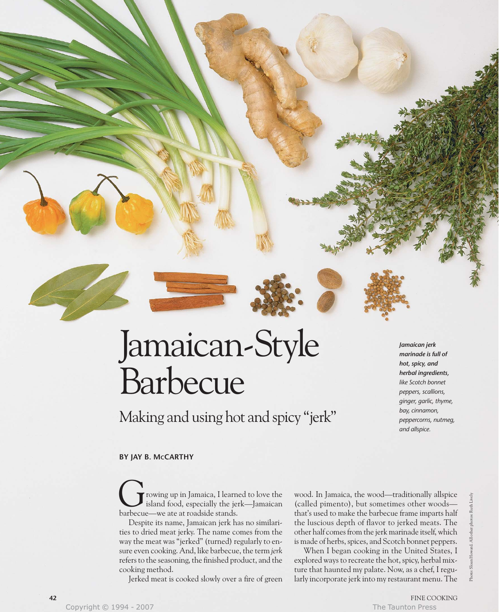# Jamaican-Style Barbecue

Making and using hot and spicy "jerk"

*Jamaican jerk marinade is full of hot, spicy, and herbal ingredients, like Scotch bonnet peppers, scallions, ginger, garlic, thyme, bay, cinnamon, peppercorns, nutmeg, and allspice.*

# **BY JAY B. MCCARTHY**

rowing up in Jamaica, I learned to love the island food, especially the jerk—Jamaican **C** rowing up in Jamaica, I learned island food, especially the jered are barbecue—we ate at roadside stands.

Despite its name, Jamaican jerk has no similarities to dried meat jerky. The name comes from the way the meat was "jerked" (turned) regularly to ensure even cooking. And, like barbecue, the term *jerk* refers to the seasoning, the finished product, and the cooking method.

Jerked meat is cooked slowly over a fire of green

wood. In Jamaica, the wood—traditionally allspice (called pimento), but sometimes other woods that's used to make the barbecue frame imparts half the luscious depth of flavor to jerked meats. The other half comes from the jerk marinade itself, which is made of herbs, spices, and Scotch bonnet peppers.

When I began cooking in the United States, I explored ways to recreate the hot, spicy, herbal mixture that haunted my palate. Now, as a chef, I regularly incorporate jerk into my restaurant menu. The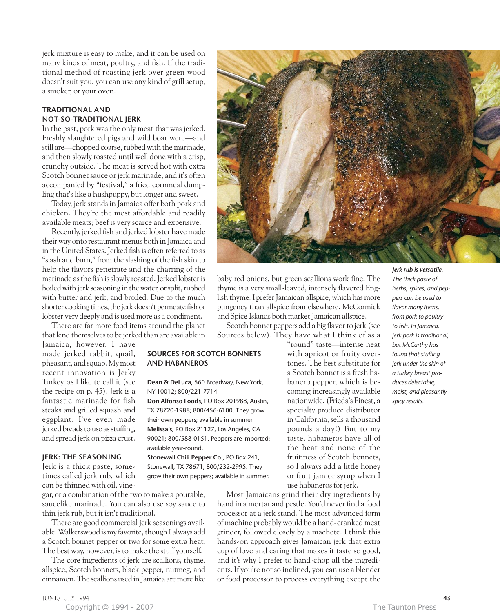jerk mixture is easy to make, and it can be used on many kinds of meat, poultry, and fish. If the traditional method of roasting jerk over green wood doesn't suit you, you can use any kind of grill setup, a smoker, or your oven.

## **TRADITIONAL AND NOT-SO-TRADITIONAL JERK**

In the past, pork was the only meat that was jerked. Freshly slaughtered pigs and wild boar were—and still are—chopped coarse, rubbed with the marinade, and then slowly roasted until well done with a crisp, crunchy outside. The meat is served hot with extra Scotch bonnet sauce or jerk marinade, and it's often accompanied by "festival," a fried cornmeal dumpling that's like a hushpuppy, but longer and sweet.

Today, jerk stands in Jamaica offer both pork and chicken. They're the most affordable and readily available meats; beef is very scarce and expensive.

Recently, jerked fish and jerked lobster have made their way onto restaurant menus both in Jamaica and in the United States. Jerked fish is often referred to as "slash and burn," from the slashing of the fish skin to help the flavors penetrate and the charring of the marinade as the fish is slowly roasted. Jerked lobster is boiled with jerk seasoning in the water, or split, rubbed with butter and jerk, and broiled. Due to the much shorter cooking times, the jerk doesn't permeate fish or lobster very deeply and is used more as a condiment.

There are far more food items around the planet that lend themselves to be jerked than are available in

**SOURCES FOR SCOTCH BONNETS**

**Dean & DeLuca,** 560 Broadway, New York,

**Don Alfonso Foods,** PO Box 201988, Austin, TX 78720-1988; 800/456-6100. They grow their own peppers; available in summer. **Melissa's,** PO Box 21127, Los Angeles, CA 90021; 800/588-0151. Peppers are imported:

**Stonewall Chili Pepper Co.,** PO Box 241, Stonewall, TX 78671; 800/232-2995. They grow their own peppers; available in summer.

**AND HABANEROS**

NY 10012; 800/221-7714

available year-round.

Jamaica, however. I have made jerked rabbit, quail, pheasant, and squab. My most recent innovation is Jerky Turkey, as I like to call it (see the recipe on p. 45). Jerk is a fantastic marinade for fish steaks and grilled squash and eggplant. I've even made jerked breads to use as stuffing, and spread jerk on pizza crust.

## **JERK: THE SEASONING**

Jerk is a thick paste, sometimes called jerk rub, which can be thinned with oil, vine-

gar, or a combination of the two to make a pourable, saucelike marinade. You can also use soy sauce to thin jerk rub, but it isn't traditional.

There are good commercial jerk seasonings available. Walkerswood is my favorite, though I always add a Scotch bonnet pepper or two for some extra heat. The best way, however, is to make the stuff yourself.

The core ingredients of jerk are scallions, thyme, allspice, Scotch bonnets, black pepper, nutmeg, and cinnamon. The scallions used in Jamaica are more like



baby red onions, but green scallions work fine. The thyme is a very small-leaved, intensely flavored English thyme. I prefer Jamaican allspice, which has more pungency than allspice from elsewhere. McCormick and Spice Islands both market Jamaican allspice.

Scotch bonnet peppers add a big flavor to jerk (see Sources below). They have what I think of as a

> "round" taste—intense heat with apricot or fruity overtones. The best substitute for a Scotch bonnet is a fresh habanero pepper, which is becoming increasingly available nationwide. (Frieda's Finest, a specialty produce distributor in California, sells a thousand pounds a day!) But to my taste, habaneros have all of the heat and none of the fruitiness of Scotch bonnets, so I always add a little honey or fruit jam or syrup when I use habaneros for jerk.

Most Jamaicans grind their dry ingredients by hand in a mortar and pestle. You'd never find a food processor at a jerk stand. The most advanced form of machine probably would be a hand-cranked meat grinder, followed closely by a machete. I think this hands-on approach gives Jamaican jerk that extra cup of love and caring that makes it taste so good, and it's why I prefer to hand-chop all the ingredients. If you're not so inclined, you can use a blender or food processor to process everything except the

*Jerk rub is versatile. The thick paste of herbs, spices, and peppers can be used to flavor many items, from pork to poultry to fish. In Jamaica, jerk pork is traditional, but McCarthy has found that stuffing jerk under the skin of a turkey breast produces delectable, moist, and pleasantly spicy results.*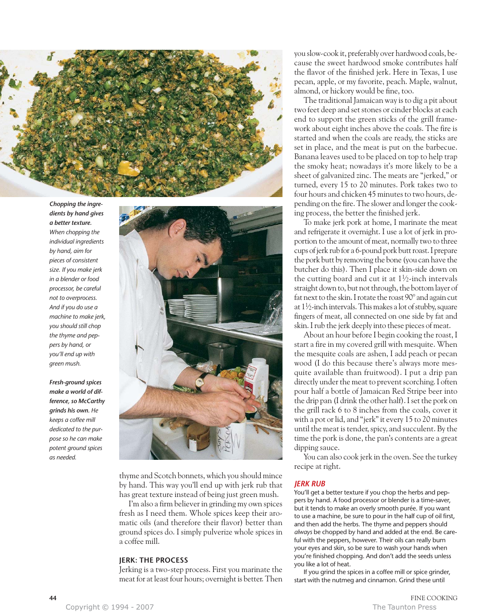

*Chopping the ingredients by hand gives a better texture. When chopping the individual ingredients by hand, aim for pieces of consistent size. If you make jerk in a blender or food processor, be careful not to overprocess. And if you do use a machine to make jerk, you should still chop the thyme and peppers by hand, or you'll end up with green mush.*

*Fresh-ground spices make a world of difference, so McCarthy grinds his own. He keeps a coffee mill dedicated to the purpose so he can make potent ground spices as needed.*



thyme and Scotch bonnets, which you should mince by hand. This way you'll end up with jerk rub that has great texture instead of being just green mush.

I'm also a firm believer in grinding my own spices fresh as I need them. Whole spices keep their aromatic oils (and therefore their flavor) better than ground spices do. I simply pulverize whole spices in a coffee mill.

## **JERK: THE PROCESS**

Jerking is a two-step process. First you marinate the meat for at least four hours; overnight is better. Then you slow-cook it, preferably over hardwood coals, because the sweet hardwood smoke contributes half the flavor of the finished jerk. Here in Texas, I use pecan, apple, or my favorite, peach. Maple, walnut, almond, or hickory would be fine, too.

The traditional Jamaican way is to dig a pit about two feet deep and set stones or cinder blocks at each end to support the green sticks of the grill framework about eight inches above the coals. The fire is started and when the coals are ready, the sticks are set in place, and the meat is put on the barbecue. Banana leaves used to be placed on top to help trap the smoky heat; nowadays it's more likely to be a sheet of galvanized zinc. The meats are "jerked," or turned, every 15 to 20 minutes. Pork takes two to four hours and chicken 45 minutes to two hours, depending on the fire. The slower and longer the cooking process, the better the finished jerk.

To make jerk pork at home, I marinate the meat and refrigerate it overnight. I use a lot of jerk in proportion to the amount of meat, normally two to three cups of jerk rub for a 6-pound pork butt roast. I prepare the pork butt by removing the bone (you can have the butcher do this). Then I place it skin-side down on the cutting board and cut it at  $1\frac{1}{2}$ -inch intervals straight down to, but not through, the bottom layer of fat next to the skin. I rotate the roast 90° and again cut at 11 ⁄2-inch intervals. This makes a lot of stubby, square fingers of meat, all connected on one side by fat and skin. I rub the jerk deeply into these pieces of meat.

About an hour before I begin cooking the roast, I start a fire in my covered grill with mesquite. When the mesquite coals are ashen, I add peach or pecan wood (I do this because there's always more mesquite available than fruitwood). I put a drip pan directly under the meat to prevent scorching. I often pour half a bottle of Jamaican Red Stripe beer into the drip pan (I drink the other half). I set the pork on the grill rack 6 to 8 inches from the coals, cover it with a pot or lid, and "jerk" it every 15 to 20 minutes until the meat is tender, spicy, and succulent. By the time the pork is done, the pan's contents are a great dipping sauce.

You can also cook jerk in the oven. See the turkey recipe at right.

### *JERK RUB*

You'll get a better texture if you chop the herbs and peppers by hand. A food processor or blender is a time-saver, but it tends to make an overly smooth purée. If you want to use a machine, be sure to pour in the half cup of oil first, and then add the herbs. The thyme and peppers should *always* be chopped by hand and added at the end. Be careful with the peppers, however. Their oils can really burn your eyes and skin, so be sure to wash your hands when you're finished chopping. And don't add the seeds unless you like a lot of heat.

If you grind the spices in a coffee mill or spice grinder, start with the nutmeg and cinnamon. Grind these until